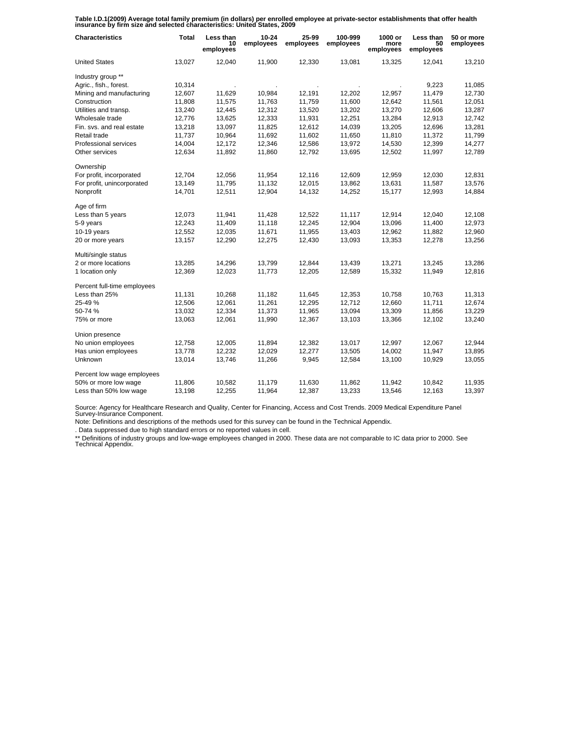**Table I.D.1(2009) Average total family premium (in dollars) per enrolled employee at private-sector establishments that offer health insurance by firm size and selected characteristics: United States, 2009**

| <b>Characteristics</b>      | <b>Total</b> | Less than<br>10<br>employees | $10 - 24$<br>employees | 25-99<br>employees | 100-999<br>employees | 1000 or<br>more<br>employees | Less than<br>50<br>employees | 50 or more<br>employees |
|-----------------------------|--------------|------------------------------|------------------------|--------------------|----------------------|------------------------------|------------------------------|-------------------------|
| <b>United States</b>        | 13,027       | 12,040                       | 11,900                 | 12,330             | 13,081               | 13,325                       | 12,041                       | 13,210                  |
| Industry group **           |              |                              |                        |                    |                      |                              |                              |                         |
| Agric., fish., forest.      | 10,314       |                              |                        |                    |                      |                              | 9,223                        | 11,085                  |
| Mining and manufacturing    | 12,607       | 11,629                       | 10,984                 | 12,191             | 12,202               | 12,957                       | 11,479                       | 12,730                  |
| Construction                | 11,808       | 11,575                       | 11,763                 | 11,759             | 11,600               | 12,642                       | 11,561                       | 12,051                  |
| Utilities and transp.       | 13,240       | 12,445                       | 12,312                 | 13,520             | 13,202               | 13,270                       | 12,606                       | 13,287                  |
| Wholesale trade             | 12,776       | 13,625                       | 12,333                 | 11,931             | 12,251               | 13,284                       | 12,913                       | 12,742                  |
| Fin. svs. and real estate   | 13,218       | 13,097                       | 11,825                 | 12,612             | 14,039               | 13,205                       | 12,696                       | 13,281                  |
| Retail trade                | 11,737       | 10,964                       | 11,692                 | 11,602             | 11,650               | 11,810                       | 11,372                       | 11,799                  |
| Professional services       | 14,004       | 12,172                       | 12,346                 | 12,586             | 13,972               | 14,530                       | 12,399                       | 14,277                  |
| Other services              | 12,634       | 11,892                       | 11,860                 | 12,792             | 13,695               | 12,502                       | 11,997                       | 12,789                  |
| Ownership                   |              |                              |                        |                    |                      |                              |                              |                         |
| For profit, incorporated    | 12,704       | 12,056                       | 11,954                 | 12,116             | 12,609               | 12,959                       | 12,030                       | 12,831                  |
| For profit, unincorporated  | 13,149       | 11,795                       | 11,132                 | 12,015             | 13,862               | 13,631                       | 11,587                       | 13,576                  |
| Nonprofit                   | 14,701       | 12,511                       | 12,904                 | 14,132             | 14,252               | 15,177                       | 12,993                       | 14,884                  |
| Age of firm                 |              |                              |                        |                    |                      |                              |                              |                         |
| Less than 5 years           | 12,073       | 11,941                       | 11,428                 | 12,522             | 11,117               | 12,914                       | 12,040                       | 12,108                  |
| 5-9 years                   | 12,243       | 11,409                       | 11,118                 | 12,245             | 12,904               | 13,096                       | 11,400                       | 12,973                  |
| $10-19$ years               | 12,552       | 12,035                       | 11,671                 | 11,955             | 13,403               | 12,962                       | 11,882                       | 12,960                  |
| 20 or more years            | 13,157       | 12,290                       | 12,275                 | 12,430             | 13,093               | 13,353                       | 12,278                       | 13,256                  |
| Multi/single status         |              |                              |                        |                    |                      |                              |                              |                         |
| 2 or more locations         | 13,285       | 14,296                       | 13,799                 | 12,844             | 13,439               | 13,271                       | 13,245                       | 13,286                  |
| 1 location only             | 12,369       | 12,023                       | 11,773                 | 12,205             | 12,589               | 15,332                       | 11,949                       | 12,816                  |
| Percent full-time employees |              |                              |                        |                    |                      |                              |                              |                         |
| Less than 25%               | 11,131       | 10,268                       | 11,182                 | 11,645             | 12,353               | 10,758                       | 10,763                       | 11,313                  |
| 25-49 %                     | 12,506       | 12,061                       | 11,261                 | 12,295             | 12,712               | 12,660                       | 11,711                       | 12,674                  |
| 50-74%                      | 13,032       | 12,334                       | 11,373                 | 11,965             | 13,094               | 13,309                       | 11,856                       | 13,229                  |
| 75% or more                 | 13,063       | 12,061                       | 11,990                 | 12,367             | 13,103               | 13,366                       | 12,102                       | 13,240                  |
| Union presence              |              |                              |                        |                    |                      |                              |                              |                         |
| No union employees          | 12,758       | 12,005                       | 11,894                 | 12,382             | 13,017               | 12,997                       | 12,067                       | 12,944                  |
| Has union employees         | 13,778       | 12,232                       | 12,029                 | 12,277             | 13,505               | 14,002                       | 11,947                       | 13,895                  |
| Unknown                     | 13,014       | 13,746                       | 11,266                 | 9,945              | 12,584               | 13,100                       | 10,929                       | 13,055                  |
| Percent low wage employees  |              |                              |                        |                    |                      |                              |                              |                         |
| 50% or more low wage        | 11,806       | 10,582                       | 11,179                 | 11,630             | 11,862               | 11,942                       | 10,842                       | 11,935                  |
| Less than 50% low wage      | 13,198       | 12,255                       | 11,964                 | 12,387             | 13,233               | 13,546                       | 12,163                       | 13,397                  |

Source: Agency for Healthcare Research and Quality, Center for Financing, Access and Cost Trends. 2009 Medical Expenditure Panel Survey-Insurance Component.

Note: Definitions and descriptions of the methods used for this survey can be found in the Technical Appendix.

. Data suppressed due to high standard errors or no reported values in cell.

\*\* Definitions of industry groups and low-wage employees changed in 2000. These data are not comparable to IC data prior to 2000. See Technical Appendix.